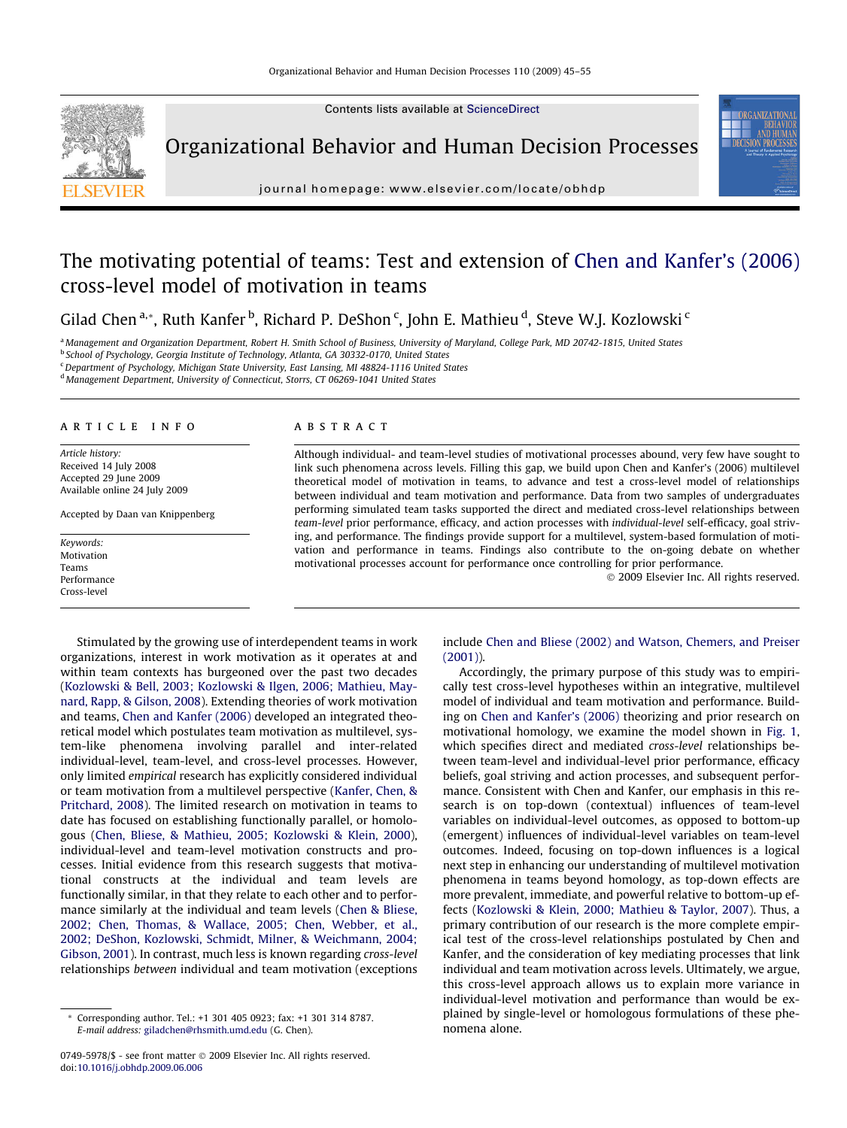Contents lists available at [ScienceDirect](http://www.sciencedirect.com/science/journal/07495978)



Organizational Behavior and Human Decision Processes

journal homepage: [www.elsevier.com/locate/obhdp](http://www.elsevier.com/locate/obhdp)

# The motivating potential of teams: Test and extension of [Chen and Kanfer's \(2006\)](#page-9-0) cross-level model of motivation in teams

Gilad Chen <sup>a,</sup>\*, Ruth Kanfer <sup>b</sup>, Richard P. DeShon <sup>c</sup>, John E. Mathieu <sup>d</sup>, Steve W.J. Kozlowski <sup>c</sup>

<sup>a</sup> Management and Organization Department, Robert H. Smith School of Business, University of Maryland, College Park, MD 20742-1815, United States <sup>b</sup> School of Psychology, Georgia Institute of Technology, Atlanta, GA 30332-0170, United States

<sup>c</sup> Department of Psychology, Michigan State University, East Lansing, MI 48824-1116 United States

<sup>d</sup> Management Department, University of Connecticut, Storrs, CT 06269-1041 United States

Article history: Received 14 July 2008 Accepted 29 June 2009 Available online 24 July 2009

article info

Accepted by Daan van Knippenberg

Keywords: Motivation Teams Performance Cross-level

## **ABSTRACT**

Although individual- and team-level studies of motivational processes abound, very few have sought to link such phenomena across levels. Filling this gap, we build upon Chen and Kanfer's (2006) multilevel theoretical model of motivation in teams, to advance and test a cross-level model of relationships between individual and team motivation and performance. Data from two samples of undergraduates performing simulated team tasks supported the direct and mediated cross-level relationships between team-level prior performance, efficacy, and action processes with individual-level self-efficacy, goal striving, and performance. The findings provide support for a multilevel, system-based formulation of motivation and performance in teams. Findings also contribute to the on-going debate on whether motivational processes account for performance once controlling for prior performance.

- 2009 Elsevier Inc. All rights reserved.

Stimulated by the growing use of interdependent teams in work organizations, interest in work motivation as it operates at and within team contexts has burgeoned over the past two decades ([Kozlowski & Bell, 2003; Kozlowski & Ilgen, 2006; Mathieu, May](#page-9-0)[nard, Rapp, & Gilson, 2008](#page-9-0)). Extending theories of work motivation and teams, [Chen and Kanfer \(2006\)](#page-9-0) developed an integrated theoretical model which postulates team motivation as multilevel, system-like phenomena involving parallel and inter-related individual-level, team-level, and cross-level processes. However, only limited empirical research has explicitly considered individual or team motivation from a multilevel perspective [\(Kanfer, Chen, &](#page-9-0) [Pritchard, 2008](#page-9-0)). The limited research on motivation in teams to date has focused on establishing functionally parallel, or homologous [\(Chen, Bliese, & Mathieu, 2005; Kozlowski & Klein, 2000\)](#page-9-0), individual-level and team-level motivation constructs and processes. Initial evidence from this research suggests that motivational constructs at the individual and team levels are functionally similar, in that they relate to each other and to performance similarly at the individual and team levels [\(Chen & Bliese,](#page-9-0) [2002; Chen, Thomas, & Wallace, 2005; Chen, Webber, et al.,](#page-9-0) [2002; DeShon, Kozlowski, Schmidt, Milner, & Weichmann, 2004;](#page-9-0) [Gibson, 2001](#page-9-0)). In contrast, much less is known regarding cross-level relationships between individual and team motivation (exceptions

# include [Chen and Bliese \(2002\) and Watson, Chemers, and Preiser](#page-9-0) [\(2001\)](#page-9-0)).

Accordingly, the primary purpose of this study was to empirically test cross-level hypotheses within an integrative, multilevel model of individual and team motivation and performance. Building on [Chen and Kanfer's \(2006\)](#page-9-0) theorizing and prior research on motivational homology, we examine the model shown in [Fig. 1,](#page-1-0) which specifies direct and mediated cross-level relationships between team-level and individual-level prior performance, efficacy beliefs, goal striving and action processes, and subsequent performance. Consistent with Chen and Kanfer, our emphasis in this research is on top-down (contextual) influences of team-level variables on individual-level outcomes, as opposed to bottom-up (emergent) influences of individual-level variables on team-level outcomes. Indeed, focusing on top-down influences is a logical next step in enhancing our understanding of multilevel motivation phenomena in teams beyond homology, as top-down effects are more prevalent, immediate, and powerful relative to bottom-up effects [\(Kozlowski & Klein, 2000; Mathieu & Taylor, 2007\)](#page-10-0). Thus, a primary contribution of our research is the more complete empirical test of the cross-level relationships postulated by Chen and Kanfer, and the consideration of key mediating processes that link individual and team motivation across levels. Ultimately, we argue, this cross-level approach allows us to explain more variance in individual-level motivation and performance than would be explained by single-level or homologous formulations of these phenomena alone.

Corresponding author. Tel.: +1 301 405 0923; fax: +1 301 314 8787. E-mail address: [giladchen@rhsmith.umd.edu](mailto:giladchen@rhsmith.umd.edu) (G. Chen).

<sup>0749-5978/\$ -</sup> see front matter © 2009 Elsevier Inc. All rights reserved. doi[:10.1016/j.obhdp.2009.06.006](http://dx.doi.org/10.1016/j.obhdp.2009.06.006)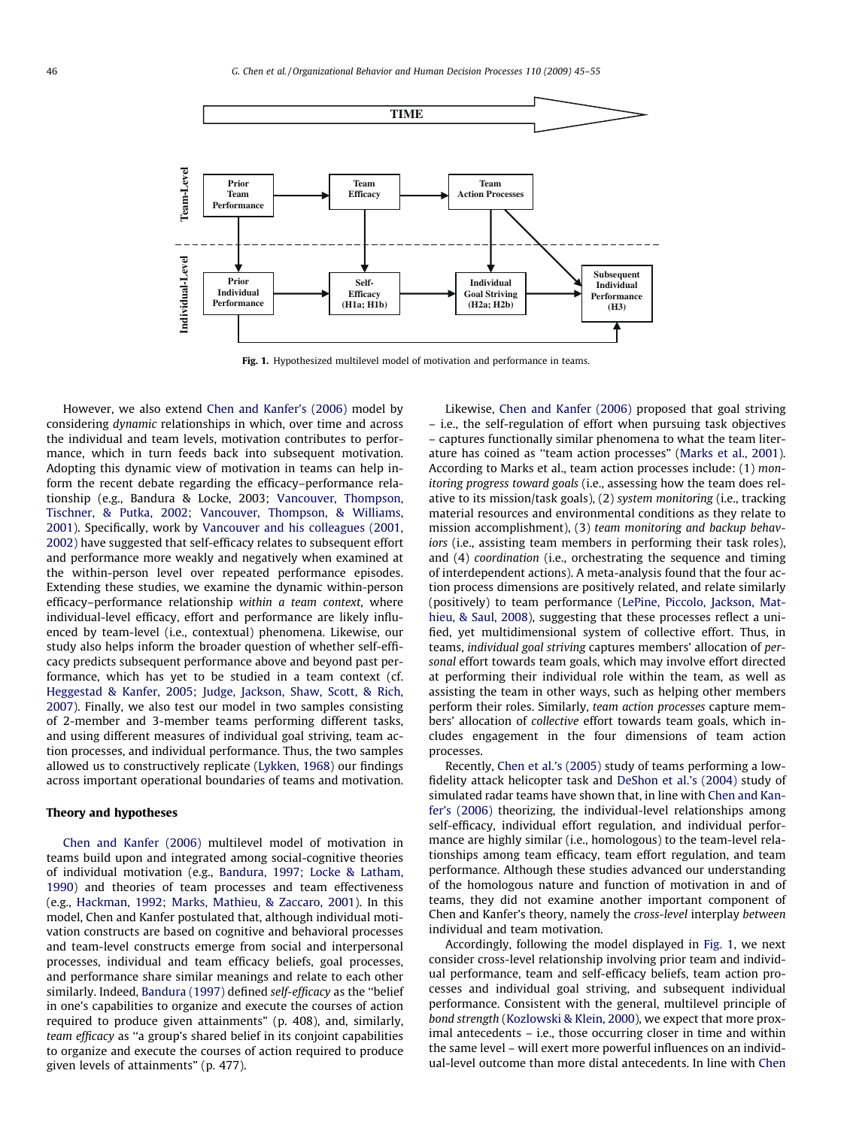<span id="page-1-0"></span>

Fig. 1. Hypothesized multilevel model of motivation and performance in teams.

However, we also extend [Chen and Kanfer's \(2006\)](#page-9-0) model by considering dynamic relationships in which, over time and across the individual and team levels, motivation contributes to performance, which in turn feeds back into subsequent motivation. Adopting this dynamic view of motivation in teams can help inform the recent debate regarding the efficacy–performance relationship (e.g., Bandura & Locke, 2003; [Vancouver, Thompson,](#page-10-0) [Tischner, & Putka, 2002; Vancouver, Thompson, & Williams,](#page-10-0) [2001\)](#page-10-0). Specifically, work by [Vancouver and his colleagues \(2001,](#page-10-0) [2002\)](#page-10-0) have suggested that self-efficacy relates to subsequent effort and performance more weakly and negatively when examined at the within-person level over repeated performance episodes. Extending these studies, we examine the dynamic within-person efficacy–performance relationship within a team context, where individual-level efficacy, effort and performance are likely influenced by team-level (i.e., contextual) phenomena. Likewise, our study also helps inform the broader question of whether self-efficacy predicts subsequent performance above and beyond past performance, which has yet to be studied in a team context (cf. [Heggestad & Kanfer, 2005; Judge, Jackson, Shaw, Scott, & Rich,](#page-9-0) [2007\)](#page-9-0). Finally, we also test our model in two samples consisting of 2-member and 3-member teams performing different tasks, and using different measures of individual goal striving, team action processes, and individual performance. Thus, the two samples allowed us to constructively replicate ([Lykken, 1968](#page-10-0)) our findings across important operational boundaries of teams and motivation.

## Theory and hypotheses

[Chen and Kanfer \(2006\)](#page-9-0) multilevel model of motivation in teams build upon and integrated among social-cognitive theories of individual motivation (e.g., [Bandura, 1997; Locke & Latham,](#page-9-0) [1990\)](#page-9-0) and theories of team processes and team effectiveness (e.g., [Hackman, 1992; Marks, Mathieu, & Zaccaro, 2001\)](#page-9-0). In this model, Chen and Kanfer postulated that, although individual motivation constructs are based on cognitive and behavioral processes and team-level constructs emerge from social and interpersonal processes, individual and team efficacy beliefs, goal processes, and performance share similar meanings and relate to each other similarly. Indeed, [Bandura \(1997\)](#page-9-0) defined self-efficacy as the ''belief in one's capabilities to organize and execute the courses of action required to produce given attainments" (p. 408), and, similarly, team efficacy as ''a group's shared belief in its conjoint capabilities to organize and execute the courses of action required to produce given levels of attainments" (p. 477).

Likewise, [Chen and Kanfer \(2006\)](#page-9-0) proposed that goal striving – i.e., the self-regulation of effort when pursuing task objectives – captures functionally similar phenomena to what the team literature has coined as ''team action processes" [\(Marks et al., 2001\)](#page-10-0). According to Marks et al., team action processes include: (1) monitoring progress toward goals (i.e., assessing how the team does relative to its mission/task goals), (2) system monitoring (i.e., tracking material resources and environmental conditions as they relate to mission accomplishment), (3) team monitoring and backup behaviors (i.e., assisting team members in performing their task roles), and (4) coordination (i.e., orchestrating the sequence and timing of interdependent actions). A meta-analysis found that the four action process dimensions are positively related, and relate similarly (positively) to team performance ([LePine, Piccolo, Jackson, Mat](#page-10-0)[hieu, & Saul, 2008](#page-10-0)), suggesting that these processes reflect a unified, yet multidimensional system of collective effort. Thus, in teams, individual goal striving captures members' allocation of personal effort towards team goals, which may involve effort directed at performing their individual role within the team, as well as assisting the team in other ways, such as helping other members perform their roles. Similarly, team action processes capture members' allocation of collective effort towards team goals, which includes engagement in the four dimensions of team action processes.

Recently, [Chen et al.'s \(2005\)](#page-9-0) study of teams performing a lowfidelity attack helicopter task and [DeShon et al.'s \(2004\)](#page-9-0) study of simulated radar teams have shown that, in line with [Chen and Kan](#page-9-0)[fer's \(2006\)](#page-9-0) theorizing, the individual-level relationships among self-efficacy, individual effort regulation, and individual performance are highly similar (i.e., homologous) to the team-level relationships among team efficacy, team effort regulation, and team performance. Although these studies advanced our understanding of the homologous nature and function of motivation in and of teams, they did not examine another important component of Chen and Kanfer's theory, namely the cross-level interplay between individual and team motivation.

Accordingly, following the model displayed in Fig. 1, we next consider cross-level relationship involving prior team and individual performance, team and self-efficacy beliefs, team action processes and individual goal striving, and subsequent individual performance. Consistent with the general, multilevel principle of bond strength [\(Kozlowski & Klein, 2000\)](#page-10-0), we expect that more proximal antecedents – i.e., those occurring closer in time and within the same level – will exert more powerful influences on an individual-level outcome than more distal antecedents. In line with [Chen](#page-9-0)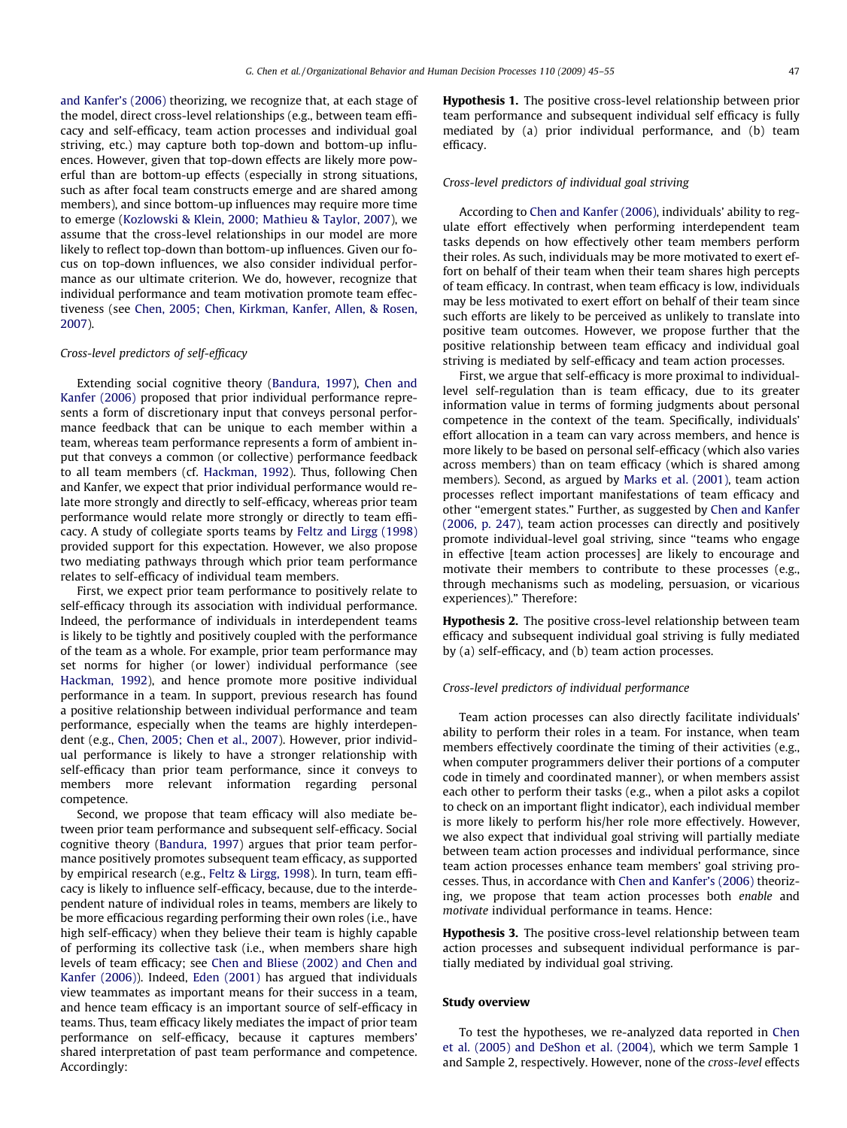<span id="page-2-0"></span>[and Kanfer's \(2006\)](#page-9-0) theorizing, we recognize that, at each stage of the model, direct cross-level relationships (e.g., between team efficacy and self-efficacy, team action processes and individual goal striving, etc.) may capture both top-down and bottom-up influences. However, given that top-down effects are likely more powerful than are bottom-up effects (especially in strong situations, such as after focal team constructs emerge and are shared among members), and since bottom-up influences may require more time to emerge ([Kozlowski & Klein, 2000; Mathieu & Taylor, 2007\)](#page-10-0), we assume that the cross-level relationships in our model are more likely to reflect top-down than bottom-up influences. Given our focus on top-down influences, we also consider individual performance as our ultimate criterion. We do, however, recognize that individual performance and team motivation promote team effectiveness (see [Chen, 2005; Chen, Kirkman, Kanfer, Allen, & Rosen,](#page-9-0) [2007](#page-9-0)).

## Cross-level predictors of self-efficacy

Extending social cognitive theory [\(Bandura, 1997\)](#page-9-0), [Chen and](#page-9-0) [Kanfer \(2006\)](#page-9-0) proposed that prior individual performance represents a form of discretionary input that conveys personal performance feedback that can be unique to each member within a team, whereas team performance represents a form of ambient input that conveys a common (or collective) performance feedback to all team members (cf. [Hackman, 1992](#page-9-0)). Thus, following Chen and Kanfer, we expect that prior individual performance would relate more strongly and directly to self-efficacy, whereas prior team performance would relate more strongly or directly to team efficacy. A study of collegiate sports teams by [Feltz and Lirgg \(1998\)](#page-9-0) provided support for this expectation. However, we also propose two mediating pathways through which prior team performance relates to self-efficacy of individual team members.

First, we expect prior team performance to positively relate to self-efficacy through its association with individual performance. Indeed, the performance of individuals in interdependent teams is likely to be tightly and positively coupled with the performance of the team as a whole. For example, prior team performance may set norms for higher (or lower) individual performance (see [Hackman, 1992\)](#page-9-0), and hence promote more positive individual performance in a team. In support, previous research has found a positive relationship between individual performance and team performance, especially when the teams are highly interdependent (e.g., [Chen, 2005; Chen et al., 2007\)](#page-9-0). However, prior individual performance is likely to have a stronger relationship with self-efficacy than prior team performance, since it conveys to members more relevant information regarding personal competence.

Second, we propose that team efficacy will also mediate between prior team performance and subsequent self-efficacy. Social cognitive theory [\(Bandura, 1997](#page-9-0)) argues that prior team performance positively promotes subsequent team efficacy, as supported by empirical research (e.g., [Feltz & Lirgg, 1998](#page-9-0)). In turn, team efficacy is likely to influence self-efficacy, because, due to the interdependent nature of individual roles in teams, members are likely to be more efficacious regarding performing their own roles (i.e., have high self-efficacy) when they believe their team is highly capable of performing its collective task (i.e., when members share high levels of team efficacy; see [Chen and Bliese \(2002\) and Chen and](#page-9-0) [Kanfer \(2006\)\)](#page-9-0). Indeed, [Eden \(2001\)](#page-9-0) has argued that individuals view teammates as important means for their success in a team, and hence team efficacy is an important source of self-efficacy in teams. Thus, team efficacy likely mediates the impact of prior team performance on self-efficacy, because it captures members' shared interpretation of past team performance and competence. Accordingly:

Hypothesis 1. The positive cross-level relationship between prior team performance and subsequent individual self efficacy is fully mediated by (a) prior individual performance, and (b) team efficacy.

## Cross-level predictors of individual goal striving

According to [Chen and Kanfer \(2006\),](#page-9-0) individuals' ability to regulate effort effectively when performing interdependent team tasks depends on how effectively other team members perform their roles. As such, individuals may be more motivated to exert effort on behalf of their team when their team shares high percepts of team efficacy. In contrast, when team efficacy is low, individuals may be less motivated to exert effort on behalf of their team since such efforts are likely to be perceived as unlikely to translate into positive team outcomes. However, we propose further that the positive relationship between team efficacy and individual goal striving is mediated by self-efficacy and team action processes.

First, we argue that self-efficacy is more proximal to individuallevel self-regulation than is team efficacy, due to its greater information value in terms of forming judgments about personal competence in the context of the team. Specifically, individuals' effort allocation in a team can vary across members, and hence is more likely to be based on personal self-efficacy (which also varies across members) than on team efficacy (which is shared among members). Second, as argued by [Marks et al. \(2001\)](#page-10-0), team action processes reflect important manifestations of team efficacy and other ''emergent states." Further, as suggested by [Chen and Kanfer](#page-9-0) [\(2006, p. 247\)](#page-9-0), team action processes can directly and positively promote individual-level goal striving, since ''teams who engage in effective [team action processes] are likely to encourage and motivate their members to contribute to these processes (e.g., through mechanisms such as modeling, persuasion, or vicarious experiences)." Therefore:

Hypothesis 2. The positive cross-level relationship between team efficacy and subsequent individual goal striving is fully mediated by (a) self-efficacy, and (b) team action processes.

## Cross-level predictors of individual performance

Team action processes can also directly facilitate individuals' ability to perform their roles in a team. For instance, when team members effectively coordinate the timing of their activities (e.g., when computer programmers deliver their portions of a computer code in timely and coordinated manner), or when members assist each other to perform their tasks (e.g., when a pilot asks a copilot to check on an important flight indicator), each individual member is more likely to perform his/her role more effectively. However, we also expect that individual goal striving will partially mediate between team action processes and individual performance, since team action processes enhance team members' goal striving processes. Thus, in accordance with [Chen and Kanfer's \(2006\)](#page-9-0) theorizing, we propose that team action processes both enable and motivate individual performance in teams. Hence:

Hypothesis 3. The positive cross-level relationship between team action processes and subsequent individual performance is partially mediated by individual goal striving.

#### Study overview

To test the hypotheses, we re-analyzed data reported in [Chen](#page-9-0) [et al. \(2005\) and DeShon et al. \(2004\)](#page-9-0), which we term Sample 1 and Sample 2, respectively. However, none of the cross-level effects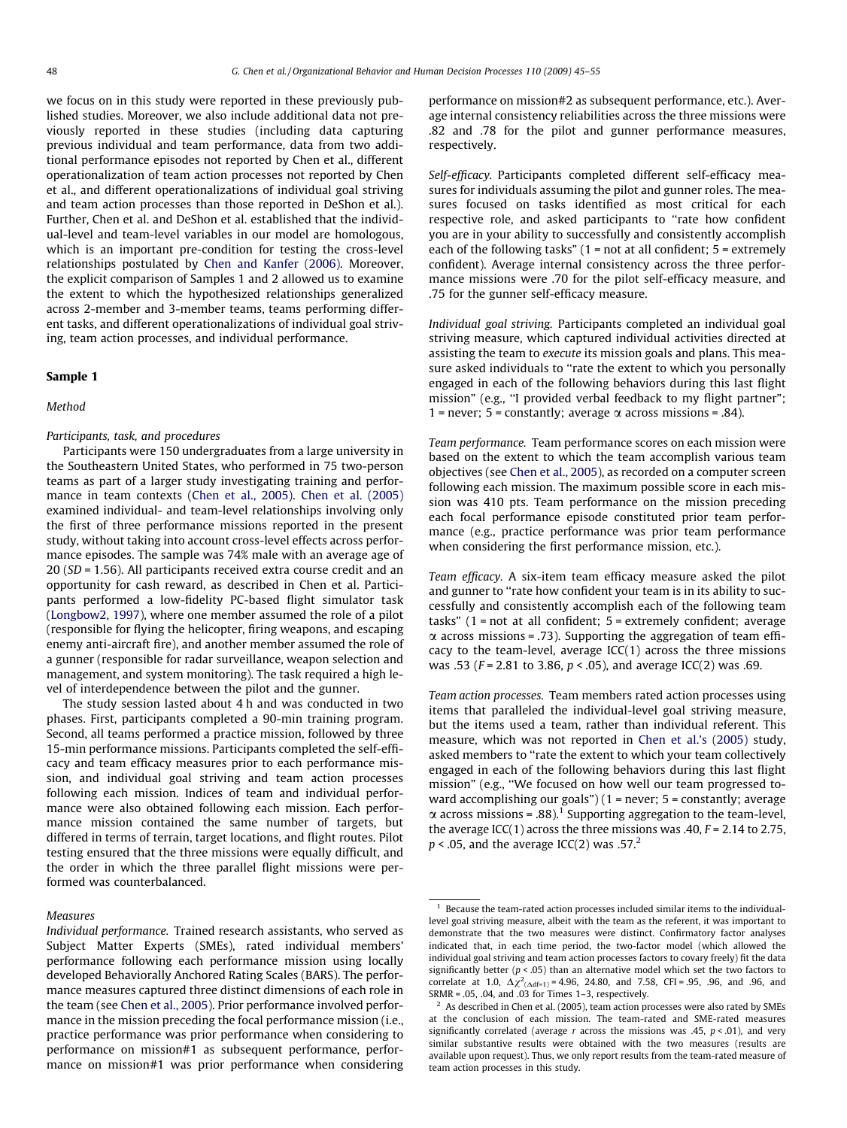we focus on in this study were reported in these previously published studies. Moreover, we also include additional data not previously reported in these studies (including data capturing previous individual and team performance, data from two additional performance episodes not reported by Chen et al., different operationalization of team action processes not reported by Chen et al., and different operationalizations of individual goal striving and team action processes than those reported in DeShon et al.). Further, Chen et al. and DeShon et al. established that the individual-level and team-level variables in our model are homologous, which is an important pre-condition for testing the cross-level relationships postulated by [Chen and Kanfer \(2006\)](#page-9-0). Moreover, the explicit comparison of Samples 1 and 2 allowed us to examine the extent to which the hypothesized relationships generalized across 2-member and 3-member teams, teams performing different tasks, and different operationalizations of individual goal striving, team action processes, and individual performance.

#### Sample 1

## Method

## Participants, task, and procedures

Participants were 150 undergraduates from a large university in the Southeastern United States, who performed in 75 two-person teams as part of a larger study investigating training and performance in team contexts [\(Chen et al., 2005\)](#page-9-0). [Chen et al. \(2005\)](#page-9-0) examined individual- and team-level relationships involving only the first of three performance missions reported in the present study, without taking into account cross-level effects across performance episodes. The sample was 74% male with an average age of 20 (SD = 1.56). All participants received extra course credit and an opportunity for cash reward, as described in Chen et al. Participants performed a low-fidelity PC-based flight simulator task ([Longbow2, 1997](#page-10-0)), where one member assumed the role of a pilot (responsible for flying the helicopter, firing weapons, and escaping enemy anti-aircraft fire), and another member assumed the role of a gunner (responsible for radar surveillance, weapon selection and management, and system monitoring). The task required a high level of interdependence between the pilot and the gunner.

The study session lasted about 4 h and was conducted in two phases. First, participants completed a 90-min training program. Second, all teams performed a practice mission, followed by three 15-min performance missions. Participants completed the self-efficacy and team efficacy measures prior to each performance mission, and individual goal striving and team action processes following each mission. Indices of team and individual performance were also obtained following each mission. Each performance mission contained the same number of targets, but differed in terms of terrain, target locations, and flight routes. Pilot testing ensured that the three missions were equally difficult, and the order in which the three parallel flight missions were performed was counterbalanced.

#### Measures

Individual performance. Trained research assistants, who served as Subject Matter Experts (SMEs), rated individual members' performance following each performance mission using locally developed Behaviorally Anchored Rating Scales (BARS). The performance measures captured three distinct dimensions of each role in the team (see [Chen et al., 2005](#page-9-0)). Prior performance involved performance in the mission preceding the focal performance mission (i.e., practice performance was prior performance when considering to performance on mission#1 as subsequent performance, performance on mission#1 was prior performance when considering performance on mission#2 as subsequent performance, etc.). Average internal consistency reliabilities across the three missions were .82 and .78 for the pilot and gunner performance measures, respectively.

Self-efficacy. Participants completed different self-efficacy measures for individuals assuming the pilot and gunner roles. The measures focused on tasks identified as most critical for each respective role, and asked participants to ''rate how confident you are in your ability to successfully and consistently accomplish each of the following tasks"  $(1 = not at all confident; 5 = extremely$ confident). Average internal consistency across the three performance missions were .70 for the pilot self-efficacy measure, and .75 for the gunner self-efficacy measure.

Individual goal striving. Participants completed an individual goal striving measure, which captured individual activities directed at assisting the team to execute its mission goals and plans. This measure asked individuals to ''rate the extent to which you personally engaged in each of the following behaviors during this last flight mission" (e.g., "I provided verbal feedback to my flight partner"; 1 = never; 5 = constantly; average  $\alpha$  across missions = .84).

Team performance. Team performance scores on each mission were based on the extent to which the team accomplish various team objectives (see [Chen et al., 2005](#page-9-0)), as recorded on a computer screen following each mission. The maximum possible score in each mission was 410 pts. Team performance on the mission preceding each focal performance episode constituted prior team performance (e.g., practice performance was prior team performance when considering the first performance mission, etc.).

Team efficacy. A six-item team efficacy measure asked the pilot and gunner to ''rate how confident your team is in its ability to successfully and consistently accomplish each of the following team tasks" (1 = not at all confident; 5 = extremely confident; average  $\alpha$  across missions = .73). Supporting the aggregation of team efficacy to the team-level, average  $ICC(1)$  across the three missions was .53 ( $F = 2.81$  to 3.86,  $p < .05$ ), and average ICC(2) was .69.

Team action processes. Team members rated action processes using items that paralleled the individual-level goal striving measure, but the items used a team, rather than individual referent. This measure, which was not reported in [Chen et al.'s \(2005\)](#page-9-0) study, asked members to ''rate the extent to which your team collectively engaged in each of the following behaviors during this last flight mission" (e.g., ''We focused on how well our team progressed toward accomplishing our goals")  $(1 = never; 5 = constantly; average)$  $\alpha$  across missions = .88).<sup>1</sup> Supporting aggregation to the team-level, the average ICC(1) across the three missions was .40,  $F = 2.14$  to 2.75,  $p < .05$ , and the average ICC(2) was .57.<sup>2</sup>

 $1$  Because the team-rated action processes included similar items to the individuallevel goal striving measure, albeit with the team as the referent, it was important to demonstrate that the two measures were distinct. Confirmatory factor analyses indicated that, in each time period, the two-factor model (which allowed the individual goal striving and team action processes factors to covary freely) fit the data significantly better ( $p < .05$ ) than an alternative model which set the two factors to correlate at 1.0,  $\Delta \chi^2$ <sub>( $\Delta df=1$ )</sub> = 4.96, 24.80, and 7.58, CFI = .95, .96, and .96, and SRMR = .05, .04, and .03 for Times 1–3, respectively.

 $2$  As described in Chen et al. (2005), team action processes were also rated by SMEs at the conclusion of each mission. The team-rated and SME-rated measures significantly correlated (average r across the missions was .45,  $p < .01$ ), and very similar substantive results were obtained with the two measures (results are available upon request). Thus, we only report results from the team-rated measure of team action processes in this study.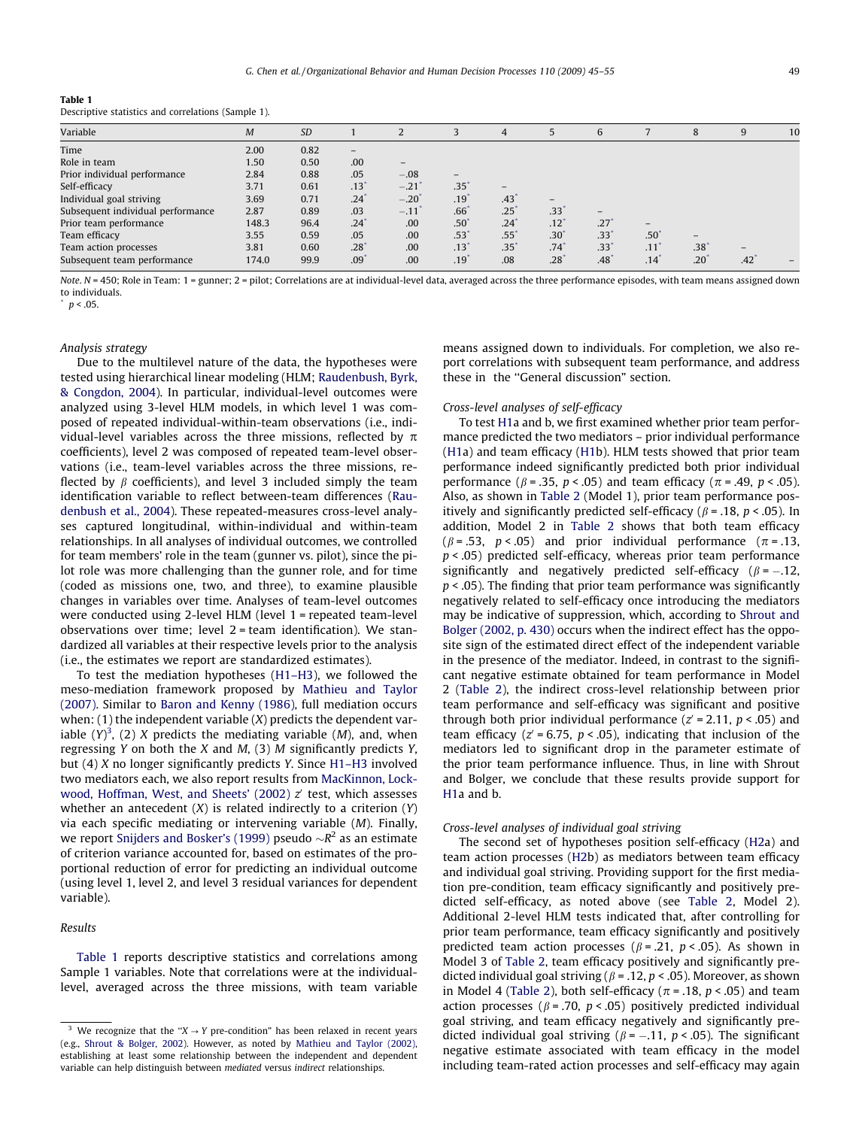<span id="page-4-0"></span>

| Table 1                                             |  |
|-----------------------------------------------------|--|
| Descriptive statistics and correlations (Sample 1). |  |

| Variable                          | М     | <b>SD</b> |                          |                   |                    | $\overline{4}$   |                  | 6      |                 | 8                | 9             | 10 |
|-----------------------------------|-------|-----------|--------------------------|-------------------|--------------------|------------------|------------------|--------|-----------------|------------------|---------------|----|
| Time                              | 2.00  | 0.82      | $\overline{\phantom{a}}$ |                   |                    |                  |                  |        |                 |                  |               |    |
| Role in team                      | 1.50  | 0.50      | .00                      | $\qquad \qquad -$ |                    |                  |                  |        |                 |                  |               |    |
| Prior individual performance      | 2.84  | 0.88      | .05                      | $-.08$            |                    |                  |                  |        |                 |                  |               |    |
| Self-efficacy                     | 3.71  | 0.61      | $.13$ <sup>*</sup>       | $-.21$            | .35'               |                  |                  |        |                 |                  |               |    |
| Individual goal striving          | 3.69  | 0.71      | .24                      | $-.20'$           | $.19$ <sup>*</sup> | .43 <sup>°</sup> |                  |        |                 |                  |               |    |
| Subsequent individual performance | 2.87  | 0.89      | .03                      | $-.11$            | .66 <sup>°</sup>   | $.25^{\degree}$  | .33'             | $-$    |                 |                  |               |    |
| Prior team performance            | 148.3 | 96.4      | .24                      | .00               | $.50^{\degree}$    | .24              | $.12^{\degree}$  | .27    |                 |                  |               |    |
| Team efficacy                     | 3.55  | 0.59      | .05                      | .00               | .53'               | .55              | .30 <sup>°</sup> | .33'   | $.50^{\degree}$ |                  |               |    |
| Team action processes             | 3.81  | 0.60      | $.28^{\degree}$          | .00               | .13'               | .35'             | .74"             | $.33*$ | .11             | .38 <sup>°</sup> | $-$           |    |
| Subsequent team performance       | 174.0 | 99.9      | .09 <sup>°</sup>         | .00               | .19                | .08              | $.28*$           | .48    | .14             | $.20^{\circ}$    | $.42^{\circ}$ |    |

Note. N = 450; Role in Team: 1 = gunner; 2 = pilot; Correlations are at individual-level data, averaged across the three performance episodes, with team means assigned down to individuals.

 $n < 05$ 

## Analysis strategy

Due to the multilevel nature of the data, the hypotheses were tested using hierarchical linear modeling (HLM; [Raudenbush, Byrk,](#page-10-0) [& Congdon, 2004\)](#page-10-0). In particular, individual-level outcomes were analyzed using 3-level HLM models, in which level 1 was composed of repeated individual-within-team observations (i.e., individual-level variables across the three missions, reflected by  $\pi$ coefficients), level 2 was composed of repeated team-level observations (i.e., team-level variables across the three missions, reflected by  $\beta$  coefficients), and level 3 included simply the team identification variable to reflect between-team differences [\(Rau](#page-10-0)[denbush et al., 2004\)](#page-10-0). These repeated-measures cross-level analyses captured longitudinal, within-individual and within-team relationships. In all analyses of individual outcomes, we controlled for team members' role in the team (gunner vs. pilot), since the pilot role was more challenging than the gunner role, and for time (coded as missions one, two, and three), to examine plausible changes in variables over time. Analyses of team-level outcomes were conducted using 2-level HLM (level 1 = repeated team-level observations over time; level 2 = team identification). We standardized all variables at their respective levels prior to the analysis (i.e., the estimates we report are standardized estimates).

To test the mediation hypotheses ([H1–H3](#page-2-0)), we followed the meso-mediation framework proposed by [Mathieu and Taylor](#page-10-0) [\(2007\)](#page-10-0). Similar to [Baron and Kenny \(1986\)](#page-9-0), full mediation occurs when:  $(1)$  the independent variable  $(X)$  predicts the dependent variable  $(Y)^3$ , (2) X predicts the mediating variable  $(M)$ , and, when regressing Y on both the X and M,  $(3)$  M significantly predicts Y, but (4) X no longer significantly predicts Y. Since [H1–H3](#page-2-0) involved two mediators each, we also report results from [MacKinnon, Lock](#page-10-0)[wood, Hoffman, West, and Sheets' \(2002\)](#page-10-0)  $z'$  test, which assesses whether an antecedent  $(X)$  is related indirectly to a criterion  $(Y)$ via each specific mediating or intervening variable (M). Finally, we report [Snijders and Bosker's \(1999\)](#page-10-0) pseudo  ${\sim}R^2$  as an estimate of criterion variance accounted for, based on estimates of the proportional reduction of error for predicting an individual outcome (using level 1, level 2, and level 3 residual variances for dependent variable).

## Results

Table 1 reports descriptive statistics and correlations among Sample 1 variables. Note that correlations were at the individuallevel, averaged across the three missions, with team variable means assigned down to individuals. For completion, we also report correlations with subsequent team performance, and address these in the ''General discussion" section.

# Cross-level analyses of self-efficacy

To test [H1](#page-2-0)a and b, we first examined whether prior team performance predicted the two mediators – prior individual performance ([H1](#page-2-0)a) and team efficacy [\(H1](#page-2-0)b). HLM tests showed that prior team performance indeed significantly predicted both prior individual performance ( $\beta$  = .35,  $p < .05$ ) and team efficacy ( $\pi$  = .49,  $p < .05$ ). Also, as shown in [Table 2](#page-5-0) (Model 1), prior team performance positively and significantly predicted self-efficacy ( $\beta$  = .18,  $p$  < .05). In addition, Model 2 in [Table 2](#page-5-0) shows that both team efficacy ( $\beta$  = .53,  $p$  < .05) and prior individual performance ( $\pi$  = .13,  $p < .05$ ) predicted self-efficacy, whereas prior team performance significantly and negatively predicted self-efficacy ( $\beta = -.12$ ,  $p < .05$ ). The finding that prior team performance was significantly negatively related to self-efficacy once introducing the mediators may be indicative of suppression, which, according to [Shrout and](#page-10-0) [Bolger \(2002, p. 430\)](#page-10-0) occurs when the indirect effect has the opposite sign of the estimated direct effect of the independent variable in the presence of the mediator. Indeed, in contrast to the significant negative estimate obtained for team performance in Model 2 ([Table 2](#page-5-0)), the indirect cross-level relationship between prior team performance and self-efficacy was significant and positive through both prior individual performance ( $z' = 2.11$ ,  $p < .05$ ) and team efficacy ( $z' = 6.75$ ,  $p < .05$ ), indicating that inclusion of the mediators led to significant drop in the parameter estimate of the prior team performance influence. Thus, in line with Shrout and Bolger, we conclude that these results provide support for [H1](#page-2-0)a and b.

## Cross-level analyses of individual goal striving

The second set of hypotheses position self-efficacy ([H2a](#page-2-0)) and team action processes [\(H2](#page-2-0)b) as mediators between team efficacy and individual goal striving. Providing support for the first mediation pre-condition, team efficacy significantly and positively predicted self-efficacy, as noted above (see [Table 2](#page-5-0), Model 2). Additional 2-level HLM tests indicated that, after controlling for prior team performance, team efficacy significantly and positively predicted team action processes ( $\beta$  = .21, p < .05). As shown in Model 3 of [Table 2,](#page-5-0) team efficacy positively and significantly predicted individual goal striving ( $\beta$  = .12,  $p$  < .05). Moreover, as shown in Model 4 [\(Table 2](#page-5-0)), both self-efficacy ( $\pi$  = .18,  $p$  < .05) and team action processes ( $\beta$  = .70,  $p$  < .05) positively predicted individual goal striving, and team efficacy negatively and significantly predicted individual goal striving ( $\beta$  = -.11, p < .05). The significant negative estimate associated with team efficacy in the model including team-rated action processes and self-efficacy may again

<sup>&</sup>lt;sup>3</sup> We recognize that the " $X \rightarrow Y$  pre-condition" has been relaxed in recent years (e.g., [Shrout & Bolger, 2002\)](#page-10-0). However, as noted by [Mathieu and Taylor \(2002\)](#page-10-0), establishing at least some relationship between the independent and dependent variable can help distinguish between mediated versus indirect relationships.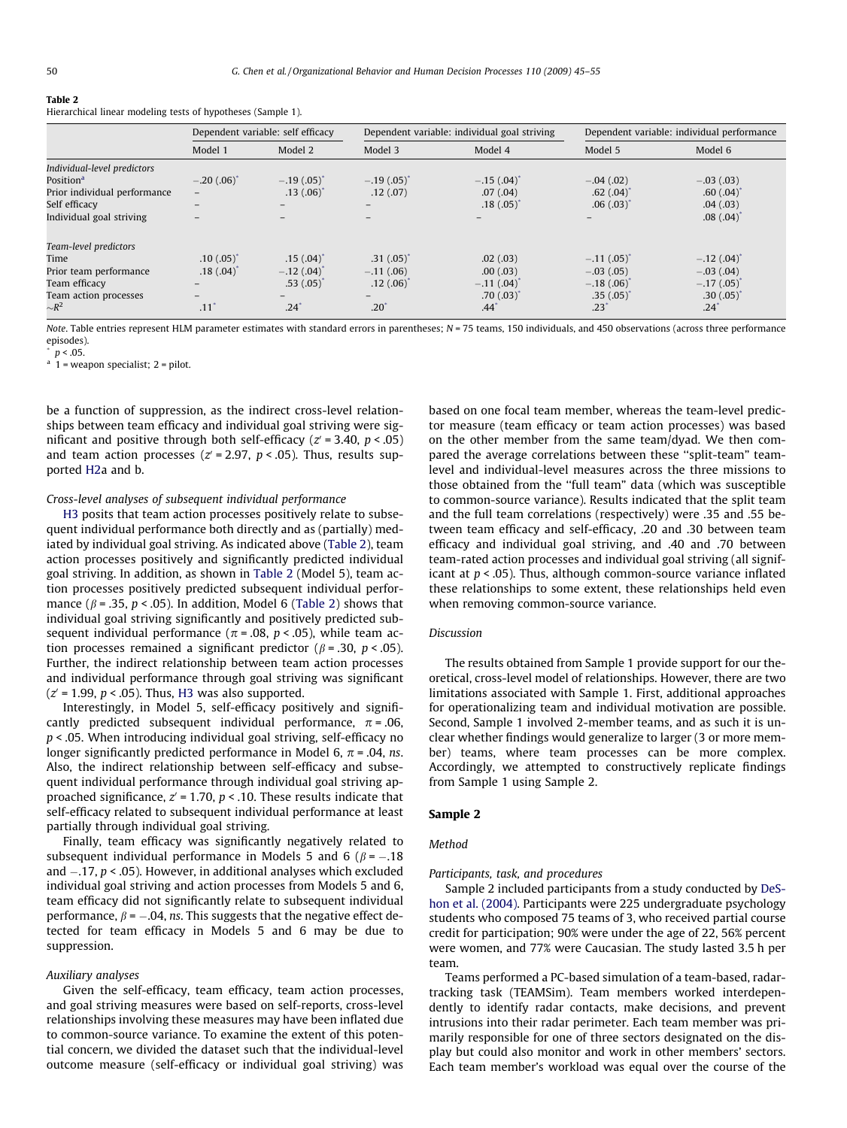#### <span id="page-5-0"></span>Table 2

Hierarchical linear modeling tests of hypotheses (Sample 1).

|                              |                          | Dependent variable: self efficacy |                          | Dependent variable: individual goal striving | Dependent variable: individual performance |                         |  |  |
|------------------------------|--------------------------|-----------------------------------|--------------------------|----------------------------------------------|--------------------------------------------|-------------------------|--|--|
|                              | Model 1                  | Model 2                           | Model 3                  | Model 4                                      | Model 5                                    | Model 6                 |  |  |
| Individual-level predictors  |                          |                                   |                          |                                              |                                            |                         |  |  |
| Position <sup>a</sup>        | $-.20(.06)$              | $-.19(.05)$                       | $-.19(.05)$              | $-.15(.04)$                                  | $-.04(.02)$                                | $-.03(.03)$             |  |  |
| Prior individual performance | $\qquad \qquad -$        | $.13(.06)$ <sup>*</sup>           | .12(.07)                 | .07(.04)                                     | .62(.04)                                   | .60(.04)                |  |  |
| Self efficacy                |                          |                                   |                          | .18(.05)                                     | .06(.03)                                   | .04(.03)                |  |  |
| Individual goal striving     |                          |                                   |                          |                                              |                                            | .08(.04)                |  |  |
| Team-level predictors        |                          |                                   |                          |                                              |                                            |                         |  |  |
| Time                         | .10(.05)                 | $.15(.04)^*$                      | .31(.05)                 | .02(.03)                                     | $-.11(.05)$ <sup>*</sup>                   | $-.12(.04)$             |  |  |
| Prior team performance       | $.18(.04)^*$             | $-.12(.04)$                       | $-.11(.06)$              | .00(.03)                                     | $-.03(.05)$                                | $-.03$ (.04)            |  |  |
| Team efficacy                | $\overline{\phantom{0}}$ | .53(.05)                          | .12(.06)                 | $-.11$ $(.04)$                               | $-.18(.06)$                                | $-.17(.05)$             |  |  |
| Team action processes        |                          |                                   | $\overline{\phantom{m}}$ | .70(.03)                                     | $.35(.05)^*$                               | $.30(.05)$ <sup>*</sup> |  |  |
| $\sim R^2$                   | .11                      | $.24$ <sup>*</sup>                | $.20^{\degree}$          | .44                                          | .23'                                       | $.24^{\degree}$         |  |  |
|                              |                          |                                   |                          |                                              |                                            |                         |  |  |

Note. Table entries represent HLM parameter estimates with standard errors in parentheses:  $N = 75$  teams, 150 individuals, and 450 observations (across three performance episodes).

 $p < .05$ .

 $a<sup>a</sup>$  1 = weapon specialist; 2 = pilot.

be a function of suppression, as the indirect cross-level relationships between team efficacy and individual goal striving were significant and positive through both self-efficacy ( $z' = 3.40$ ,  $p < .05$ ) and team action processes ( $z' = 2.97$ ,  $p < .05$ ). Thus, results supported [H2](#page-2-0)a and b.

#### Cross-level analyses of subsequent individual performance

[H3](#page-2-0) posits that team action processes positively relate to subsequent individual performance both directly and as (partially) mediated by individual goal striving. As indicated above (Table 2), team action processes positively and significantly predicted individual goal striving. In addition, as shown in Table 2 (Model 5), team action processes positively predicted subsequent individual performance ( $\beta$  = .35,  $p < .05$ ). In addition, Model 6 (Table 2) shows that individual goal striving significantly and positively predicted subsequent individual performance ( $\pi$  = .08,  $p$  < .05), while team action processes remained a significant predictor ( $\beta$  = .30,  $p$  < .05). Further, the indirect relationship between team action processes and individual performance through goal striving was significant  $(z' = 1.99, p < .05)$ . Thus, [H3](#page-2-0) was also supported.

Interestingly, in Model 5, self-efficacy positively and significantly predicted subsequent individual performance,  $\pi$  = .06,  $p < 0.05$ . When introducing individual goal striving, self-efficacy no longer significantly predicted performance in Model 6,  $\pi$  = .04, ns. Also, the indirect relationship between self-efficacy and subsequent individual performance through individual goal striving approached significance,  $z' = 1.70$ ,  $p < .10$ . These results indicate that self-efficacy related to subsequent individual performance at least partially through individual goal striving.

Finally, team efficacy was significantly negatively related to subsequent individual performance in Models 5 and 6 ( $\beta$  = -.18 and  $-.17$ ,  $p < .05$ ). However, in additional analyses which excluded individual goal striving and action processes from Models 5 and 6, team efficacy did not significantly relate to subsequent individual performance,  $\beta$  = -.04, ns. This suggests that the negative effect detected for team efficacy in Models 5 and 6 may be due to suppression.

#### Auxiliary analyses

Given the self-efficacy, team efficacy, team action processes, and goal striving measures were based on self-reports, cross-level relationships involving these measures may have been inflated due to common-source variance. To examine the extent of this potential concern, we divided the dataset such that the individual-level outcome measure (self-efficacy or individual goal striving) was based on one focal team member, whereas the team-level predictor measure (team efficacy or team action processes) was based on the other member from the same team/dyad. We then compared the average correlations between these ''split-team" teamlevel and individual-level measures across the three missions to those obtained from the ''full team" data (which was susceptible to common-source variance). Results indicated that the split team and the full team correlations (respectively) were .35 and .55 between team efficacy and self-efficacy, .20 and .30 between team efficacy and individual goal striving, and .40 and .70 between team-rated action processes and individual goal striving (all significant at  $p < .05$ ). Thus, although common-source variance inflated these relationships to some extent, these relationships held even when removing common-source variance.

#### Discussion

The results obtained from Sample 1 provide support for our theoretical, cross-level model of relationships. However, there are two limitations associated with Sample 1. First, additional approaches for operationalizing team and individual motivation are possible. Second, Sample 1 involved 2-member teams, and as such it is unclear whether findings would generalize to larger (3 or more member) teams, where team processes can be more complex. Accordingly, we attempted to constructively replicate findings from Sample 1 using Sample 2.

## Sample 2

## **Method**

Participants, task, and procedures

Sample 2 included participants from a study conducted by [DeS](#page-9-0)[hon et al. \(2004\).](#page-9-0) Participants were 225 undergraduate psychology students who composed 75 teams of 3, who received partial course credit for participation; 90% were under the age of 22, 56% percent were women, and 77% were Caucasian. The study lasted 3.5 h per team.

Teams performed a PC-based simulation of a team-based, radartracking task (TEAMSim). Team members worked interdependently to identify radar contacts, make decisions, and prevent intrusions into their radar perimeter. Each team member was primarily responsible for one of three sectors designated on the display but could also monitor and work in other members' sectors. Each team member's workload was equal over the course of the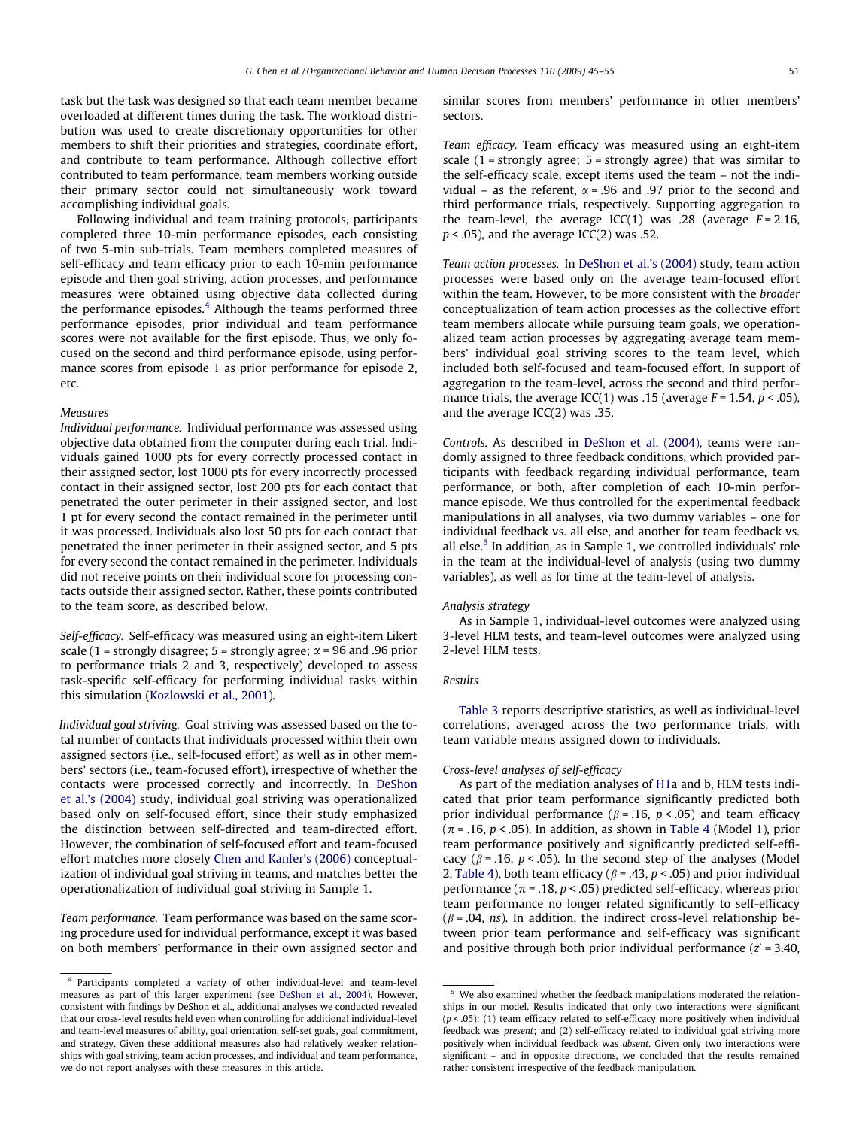task but the task was designed so that each team member became overloaded at different times during the task. The workload distribution was used to create discretionary opportunities for other members to shift their priorities and strategies, coordinate effort, and contribute to team performance. Although collective effort contributed to team performance, team members working outside their primary sector could not simultaneously work toward accomplishing individual goals.

Following individual and team training protocols, participants completed three 10-min performance episodes, each consisting of two 5-min sub-trials. Team members completed measures of self-efficacy and team efficacy prior to each 10-min performance episode and then goal striving, action processes, and performance measures were obtained using objective data collected during the performance episodes.<sup>4</sup> Although the teams performed three performance episodes, prior individual and team performance scores were not available for the first episode. Thus, we only focused on the second and third performance episode, using performance scores from episode 1 as prior performance for episode 2, etc.

## Measures

Individual performance. Individual performance was assessed using objective data obtained from the computer during each trial. Individuals gained 1000 pts for every correctly processed contact in their assigned sector, lost 1000 pts for every incorrectly processed contact in their assigned sector, lost 200 pts for each contact that penetrated the outer perimeter in their assigned sector, and lost 1 pt for every second the contact remained in the perimeter until it was processed. Individuals also lost 50 pts for each contact that penetrated the inner perimeter in their assigned sector, and 5 pts for every second the contact remained in the perimeter. Individuals did not receive points on their individual score for processing contacts outside their assigned sector. Rather, these points contributed to the team score, as described below.

Self-efficacy. Self-efficacy was measured using an eight-item Likert scale (1 = strongly disagree; 5 = strongly agree;  $\alpha$  = 96 and .96 prior to performance trials 2 and 3, respectively) developed to assess task-specific self-efficacy for performing individual tasks within this simulation [\(Kozlowski et al., 2001\)](#page-9-0).

Individual goal striving. Goal striving was assessed based on the total number of contacts that individuals processed within their own assigned sectors (i.e., self-focused effort) as well as in other members' sectors (i.e., team-focused effort), irrespective of whether the contacts were processed correctly and incorrectly. In [DeShon](#page-9-0) [et al.'s \(2004\)](#page-9-0) study, individual goal striving was operationalized based only on self-focused effort, since their study emphasized the distinction between self-directed and team-directed effort. However, the combination of self-focused effort and team-focused effort matches more closely [Chen and Kanfer's \(2006\)](#page-9-0) conceptualization of individual goal striving in teams, and matches better the operationalization of individual goal striving in Sample 1.

Team performance. Team performance was based on the same scoring procedure used for individual performance, except it was based on both members' performance in their own assigned sector and similar scores from members' performance in other members' sectors.

Team efficacy. Team efficacy was measured using an eight-item scale  $(1 =$ strongly agree;  $5 =$ strongly agree) that was similar to the self-efficacy scale, except items used the team – not the individual – as the referent,  $\alpha$  = .96 and .97 prior to the second and third performance trials, respectively. Supporting aggregation to the team-level, the average ICC(1) was .28 (average  $F = 2.16$ ,  $p < .05$ ), and the average ICC(2) was .52.

Team action processes. In [DeShon et al.'s \(2004\)](#page-9-0) study, team action processes were based only on the average team-focused effort within the team. However, to be more consistent with the broader conceptualization of team action processes as the collective effort team members allocate while pursuing team goals, we operationalized team action processes by aggregating average team members' individual goal striving scores to the team level, which included both self-focused and team-focused effort. In support of aggregation to the team-level, across the second and third performance trials, the average ICC(1) was .15 (average  $F = 1.54$ ,  $p < .05$ ), and the average  $ICC(2)$  was .35.

Controls. As described in [DeShon et al. \(2004\),](#page-9-0) teams were randomly assigned to three feedback conditions, which provided participants with feedback regarding individual performance, team performance, or both, after completion of each 10-min performance episode. We thus controlled for the experimental feedback manipulations in all analyses, via two dummy variables – one for individual feedback vs. all else, and another for team feedback vs. all else.<sup>5</sup> In addition, as in Sample 1, we controlled individuals' role in the team at the individual-level of analysis (using two dummy variables), as well as for time at the team-level of analysis.

## Analysis strategy

As in Sample 1, individual-level outcomes were analyzed using 3-level HLM tests, and team-level outcomes were analyzed using 2-level HLM tests.

# Results

[Table 3](#page-7-0) reports descriptive statistics, as well as individual-level correlations, averaged across the two performance trials, with team variable means assigned down to individuals.

## Cross-level analyses of self-efficacy

As part of the mediation analyses of [H1](#page-2-0)a and b, HLM tests indicated that prior team performance significantly predicted both prior individual performance ( $\beta$  = .16,  $p$  < .05) and team efficacy ( $\pi$  = .16,  $p$  < .05). In addition, as shown in [Table 4](#page-7-0) (Model 1), prior team performance positively and significantly predicted self-efficacy ( $\beta$  = .16,  $p < .05$ ). In the second step of the analyses (Model 2, [Table 4\)](#page-7-0), both team efficacy ( $\beta$  = .43,  $p$  < .05) and prior individual performance ( $\pi$  = .18,  $p$  < .05) predicted self-efficacy, whereas prior team performance no longer related significantly to self-efficacy ( $\beta$  = .04, ns). In addition, the indirect cross-level relationship between prior team performance and self-efficacy was significant and positive through both prior individual performance  $(z = 3.40,$ 

<sup>4</sup> Participants completed a variety of other individual-level and team-level measures as part of this larger experiment (see [DeShon et al., 2004](#page-9-0)). However, consistent with findings by DeShon et al., additional analyses we conducted revealed that our cross-level results held even when controlling for additional individual-level and team-level measures of ability, goal orientation, self-set goals, goal commitment, and strategy. Given these additional measures also had relatively weaker relationships with goal striving, team action processes, and individual and team performance, we do not report analyses with these measures in this article.

We also examined whether the feedback manipulations moderated the relationships in our model. Results indicated that only two interactions were significant  $(p < .05)$ : (1) team efficacy related to self-efficacy more positively when individual feedback was present; and (2) self-efficacy related to individual goal striving more positively when individual feedback was absent. Given only two interactions were significant – and in opposite directions, we concluded that the results remained rather consistent irrespective of the feedback manipulation.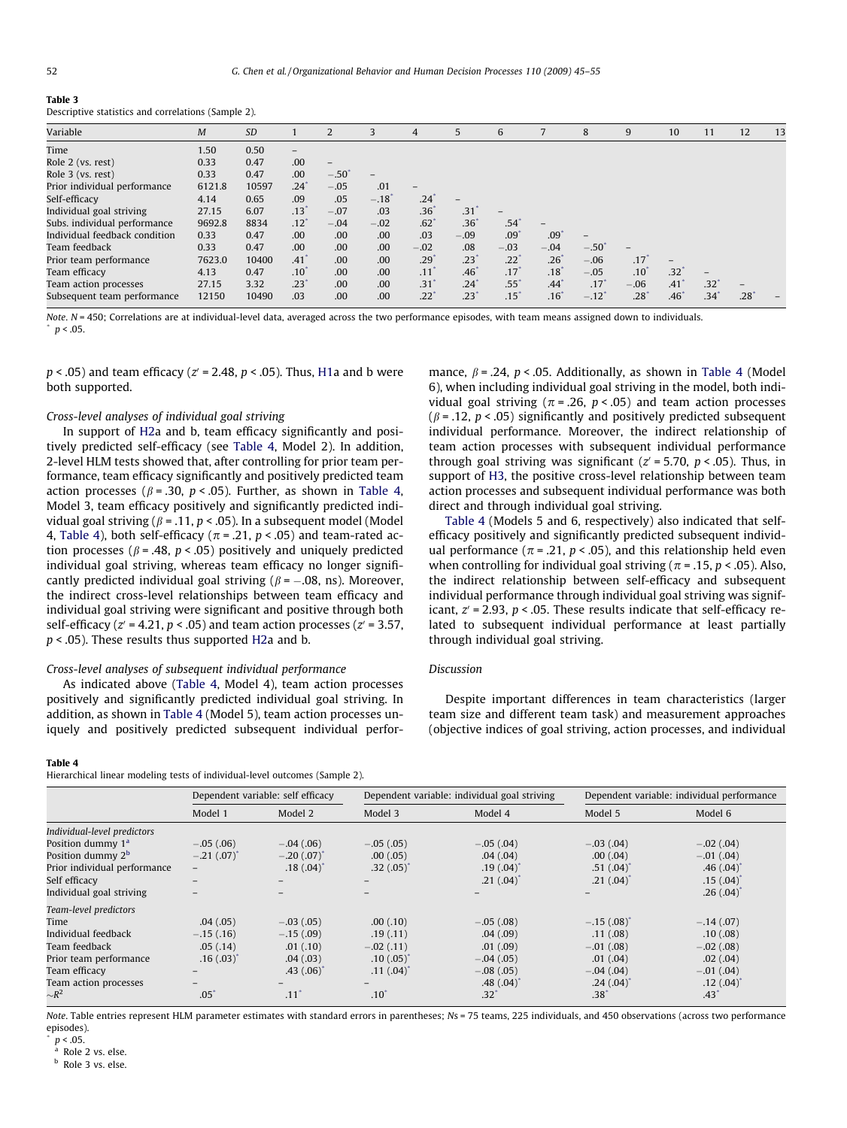<span id="page-7-0"></span>

| Table 3                                             |  |
|-----------------------------------------------------|--|
| Descriptive statistics and correlations (Sample 2). |  |

| Variable                      | $\cal M$ | <b>SD</b> |                  | 2                        | 3      | $\overline{4}$     | 5                | 6                  | 7                  | 8                        | 9                | 10               | 11              | 12          | -13 |
|-------------------------------|----------|-----------|------------------|--------------------------|--------|--------------------|------------------|--------------------|--------------------|--------------------------|------------------|------------------|-----------------|-------------|-----|
| Time                          | 1.50     | 0.50      |                  |                          |        |                    |                  |                    |                    |                          |                  |                  |                 |             |     |
| Role 2 (vs. rest)             | 0.33     | 0.47      | .00              | $\overline{\phantom{a}}$ |        |                    |                  |                    |                    |                          |                  |                  |                 |             |     |
| Role 3 (vs. rest)             | 0.33     | 0.47      | .00              | $-.50"$                  |        |                    |                  |                    |                    |                          |                  |                  |                 |             |     |
| Prior individual performance  | 6121.8   | 10597     | $.24^{\degree}$  | $-.05$                   | .01    |                    |                  |                    |                    |                          |                  |                  |                 |             |     |
| Self-efficacy                 | 4.14     | 0.65      | .09              | .05                      | $-.18$ | .24                |                  |                    |                    |                          |                  |                  |                 |             |     |
| Individual goal striving      | 27.15    | 6.07      | $.13^{\degree}$  | $-.07$                   | .03    | .36"               | .31              |                    |                    |                          |                  |                  |                 |             |     |
| Subs, individual performance  | 9692.8   | 8834      | $.12^{^{\circ}}$ | $-.04$                   | $-.02$ | .62                | .36 <sup>°</sup> | .54                |                    |                          |                  |                  |                 |             |     |
| Individual feedback condition | 0.33     | 0.47      | .00              | .00                      | .00    | .03                | $-.09$           | $.09^{\degree}$    | .09'               | $\overline{\phantom{a}}$ |                  |                  |                 |             |     |
| Team feedback                 | 0.33     | 0.47      | .00              | .00                      | .00    | $-.02$             | .08              | $-.03$             | $-.04$             | $-.50"$                  |                  |                  |                 |             |     |
| Prior team performance        | 7623.0   | 10400     | .41              | .00                      | .00    | $.29^{\degree}$    | $.23^{\circ}$    | .22"               | $.26*$             | $-.06$                   | .17'             |                  |                 |             |     |
| Team efficacy                 | 4.13     | 0.47      | $.10^{\degree}$  | .00                      | .00    | $.11$ <sup>*</sup> | .46              | .17"               | .18"               | $-.05$                   | .10 <sup>°</sup> | .32 <sup>2</sup> |                 |             |     |
| Team action processes         | 27.15    | 3.32      | .23              | .00                      | .00    | .31                | .24'             | .55'               | $.44$ <sup>*</sup> | $.17$ <sup>*</sup>       | $-.06$           | .41              | $.32^{\degree}$ |             |     |
| Subsequent team performance   | 12150    | 10490     | .03              | .00                      | .00    | $.22^{\degree}$    | .23'             | $.15$ <sup>'</sup> | .16'               | $-.12$ <sup>'</sup>      | .28'             | .46'             | .34             | $.28^\circ$ |     |

Note. N = 450; Correlations are at individual-level data, averaged across the two performance episodes, with team means assigned down to individuals.  $p < .05$ .

 $p < .05$ ) and team efficacy ( $z' = 2.48$ ,  $p < .05$ ). Thus, [H1a](#page-2-0) and b were both supported.

# Cross-level analyses of individual goal striving

In support of [H2](#page-2-0)a and b, team efficacy significantly and positively predicted self-efficacy (see Table 4, Model 2). In addition, 2-level HLM tests showed that, after controlling for prior team performance, team efficacy significantly and positively predicted team action processes ( $\beta$  = .30,  $p$  < .05). Further, as shown in Table 4, Model 3, team efficacy positively and significantly predicted individual goal striving ( $\beta$  = .11,  $p$  < .05). In a subsequent model (Model 4, Table 4), both self-efficacy ( $\pi$  = .21,  $p$  < .05) and team-rated action processes ( $\beta$  = .48,  $p$  < .05) positively and uniquely predicted individual goal striving, whereas team efficacy no longer significantly predicted individual goal striving ( $\beta$  = -.08, ns). Moreover, the indirect cross-level relationships between team efficacy and individual goal striving were significant and positive through both self-efficacy ( $z'$  = 4.21,  $p$  < .05) and team action processes ( $z'$  = 3.57,  $p <$  .05). These results thus supported [H2](#page-2-0)a and b.

## Cross-level analyses of subsequent individual performance

As indicated above (Table 4, Model 4), team action processes positively and significantly predicted individual goal striving. In addition, as shown in Table 4 (Model 5), team action processes uniquely and positively predicted subsequent individual performance,  $\beta$  = .24, p < .05. Additionally, as shown in Table 4 (Model 6), when including individual goal striving in the model, both individual goal striving ( $\pi$  = .26,  $p$  < .05) and team action processes ( $\beta$  = .12,  $p$  < .05) significantly and positively predicted subsequent individual performance. Moreover, the indirect relationship of team action processes with subsequent individual performance through goal striving was significant ( $z'$  = 5.70, p < .05). Thus, in support of [H3,](#page-2-0) the positive cross-level relationship between team action processes and subsequent individual performance was both direct and through individual goal striving.

Table 4 (Models 5 and 6, respectively) also indicated that selfefficacy positively and significantly predicted subsequent individual performance ( $\pi$  = .21,  $p$  < .05), and this relationship held even when controlling for individual goal striving ( $\pi$  = .15,  $p$  < .05). Also, the indirect relationship between self-efficacy and subsequent individual performance through individual goal striving was significant,  $z' = 2.93$ ,  $p < .05$ . These results indicate that self-efficacy related to subsequent individual performance at least partially through individual goal striving.

# Discussion

Despite important differences in team characteristics (larger team size and different team task) and measurement approaches (objective indices of goal striving, action processes, and individual

#### Table 4

Hierarchical linear modeling tests of individual-level outcomes (Sample 2).

|                               |                   | Dependent variable: self efficacy |                 | Dependent variable: individual goal striving | Dependent variable: individual performance |                 |  |
|-------------------------------|-------------------|-----------------------------------|-----------------|----------------------------------------------|--------------------------------------------|-----------------|--|
|                               | Model 1           | Model 2                           | Model 3         | Model 4                                      | Model 5                                    | Model 6         |  |
| Individual-level predictors   |                   |                                   |                 |                                              |                                            |                 |  |
| Position dummy $1a$           | $-.05(.06)$       | $-.04(.06)$                       | $-.05(.05)$     | $-.05(.04)$                                  | $-.03(.04)$                                | $-.02(.04)$     |  |
| Position dummy 2 <sup>b</sup> | $-.21(.07)^*$     | $-.20(.07)^*$                     | .00(.05)        | .04(.04)                                     | .00(.04)                                   | $-.01$ (.04)    |  |
| Prior individual performance  | $\qquad \qquad -$ | $.18(.04)^*$                      | .32(.05)        | $.19(.04)$ <sup>*</sup>                      | $.51(.04)^{4}$                             | .46(.04)        |  |
| Self efficacy                 |                   |                                   |                 | $.21(.04)$ <sup>*</sup>                      | $.21(.04)$ <sup>*</sup>                    | .15(.04)        |  |
| Individual goal striving      |                   |                                   |                 |                                              |                                            | .26(.04)        |  |
| Team-level predictors         |                   |                                   |                 |                                              |                                            |                 |  |
| Time                          | .04(.05)          | $-.03(.05)$                       | .00(0.10)       | $-.05(.08)$                                  | $-.15(.08)$                                | $-.14(.07)$     |  |
| Individual feedback           | $-.15(.16)$       | $-.15(.09)$                       | .19(.11)        | .04(.09)                                     | .11(.08)                                   | .10(.08)        |  |
| Team feedback                 | .05(.14)          | .01(.10)                          | $-.02(.11)$     | .01(.09)                                     | $-.01(.08)$                                | $-.02(.08)$     |  |
| Prior team performance        | .16(.03)          | .04(.03)                          | .10(.05)        | $-.04(.05)$                                  | .01(.04)                                   | .02(.04)        |  |
| Team efficacy                 |                   | $.43(.06)^*$                      | .11(.04)        | $-.08(.05)$                                  | $-.04(.04)$                                | $-.01(.04)$     |  |
| Team action processes         |                   |                                   |                 | $.48(.04)^*$                                 | $.24(.04)^{4}$                             | .12(.04)        |  |
| $\sim$ R <sup>2</sup>         | .05               | $.11$ <sup>*</sup>                | $.10^{\degree}$ | .32"                                         | $.38*$                                     | $.43^{\degree}$ |  |

Note. Table entries represent HLM parameter estimates with standard errors in parentheses: Ns = 75 teams, 225 individuals, and 450 observations (across two performance episodes).

 $p < .05$ .

Role 2 vs. else.

<sup>b</sup> Role 3 vs. else.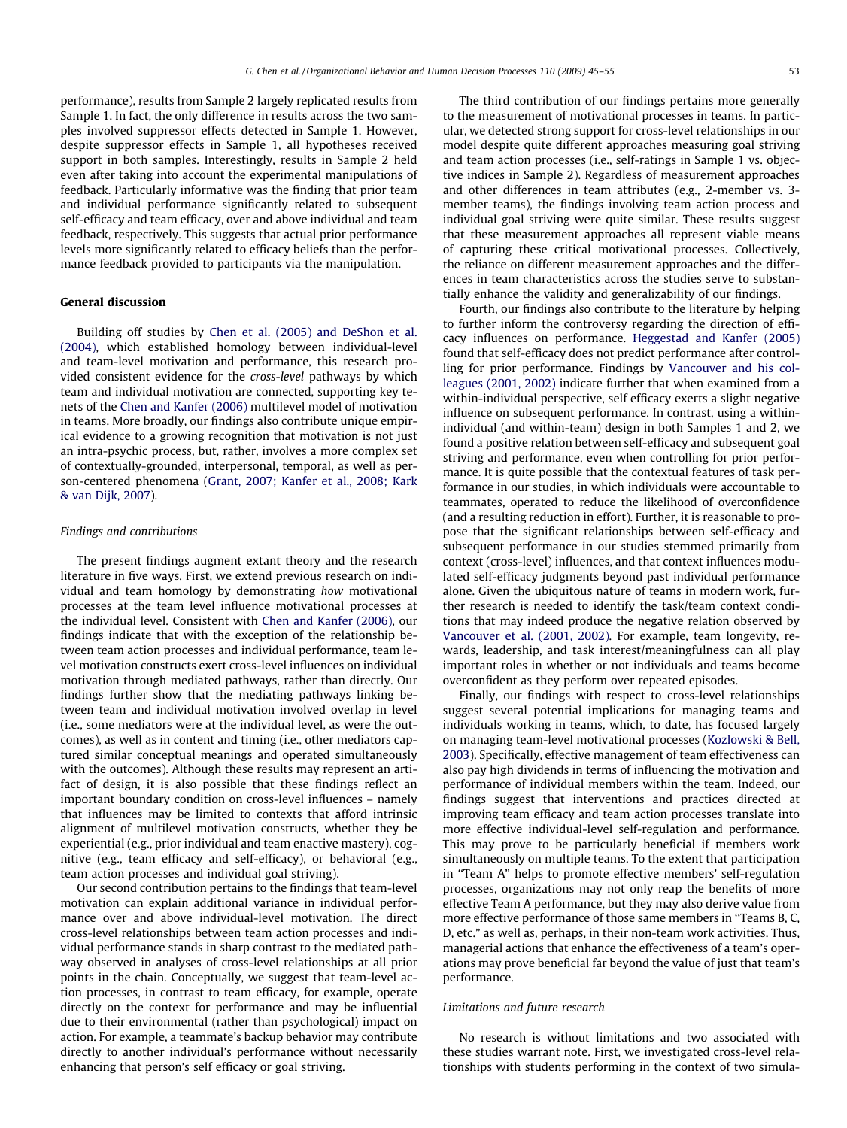performance), results from Sample 2 largely replicated results from Sample 1. In fact, the only difference in results across the two samples involved suppressor effects detected in Sample 1. However, despite suppressor effects in Sample 1, all hypotheses received support in both samples. Interestingly, results in Sample 2 held even after taking into account the experimental manipulations of feedback. Particularly informative was the finding that prior team and individual performance significantly related to subsequent self-efficacy and team efficacy, over and above individual and team feedback, respectively. This suggests that actual prior performance levels more significantly related to efficacy beliefs than the performance feedback provided to participants via the manipulation.

# General discussion

Building off studies by [Chen et al. \(2005\) and DeShon et al.](#page-9-0) [\(2004\)](#page-9-0), which established homology between individual-level and team-level motivation and performance, this research provided consistent evidence for the cross-level pathways by which team and individual motivation are connected, supporting key tenets of the [Chen and Kanfer \(2006\)](#page-9-0) multilevel model of motivation in teams. More broadly, our findings also contribute unique empirical evidence to a growing recognition that motivation is not just an intra-psychic process, but, rather, involves a more complex set of contextually-grounded, interpersonal, temporal, as well as person-centered phenomena [\(Grant, 2007; Kanfer et al., 2008; Kark](#page-9-0) [& van Dijk, 2007\)](#page-9-0).

## Findings and contributions

The present findings augment extant theory and the research literature in five ways. First, we extend previous research on individual and team homology by demonstrating how motivational processes at the team level influence motivational processes at the individual level. Consistent with [Chen and Kanfer \(2006\),](#page-9-0) our findings indicate that with the exception of the relationship between team action processes and individual performance, team level motivation constructs exert cross-level influences on individual motivation through mediated pathways, rather than directly. Our findings further show that the mediating pathways linking between team and individual motivation involved overlap in level (i.e., some mediators were at the individual level, as were the outcomes), as well as in content and timing (i.e., other mediators captured similar conceptual meanings and operated simultaneously with the outcomes). Although these results may represent an artifact of design, it is also possible that these findings reflect an important boundary condition on cross-level influences – namely that influences may be limited to contexts that afford intrinsic alignment of multilevel motivation constructs, whether they be experiential (e.g., prior individual and team enactive mastery), cognitive (e.g., team efficacy and self-efficacy), or behavioral (e.g., team action processes and individual goal striving).

Our second contribution pertains to the findings that team-level motivation can explain additional variance in individual performance over and above individual-level motivation. The direct cross-level relationships between team action processes and individual performance stands in sharp contrast to the mediated pathway observed in analyses of cross-level relationships at all prior points in the chain. Conceptually, we suggest that team-level action processes, in contrast to team efficacy, for example, operate directly on the context for performance and may be influential due to their environmental (rather than psychological) impact on action. For example, a teammate's backup behavior may contribute directly to another individual's performance without necessarily enhancing that person's self efficacy or goal striving.

The third contribution of our findings pertains more generally to the measurement of motivational processes in teams. In particular, we detected strong support for cross-level relationships in our model despite quite different approaches measuring goal striving and team action processes (i.e., self-ratings in Sample 1 vs. objective indices in Sample 2). Regardless of measurement approaches and other differences in team attributes (e.g., 2-member vs. 3 member teams), the findings involving team action process and individual goal striving were quite similar. These results suggest that these measurement approaches all represent viable means of capturing these critical motivational processes. Collectively, the reliance on different measurement approaches and the differences in team characteristics across the studies serve to substantially enhance the validity and generalizability of our findings.

Fourth, our findings also contribute to the literature by helping to further inform the controversy regarding the direction of efficacy influences on performance. [Heggestad and Kanfer \(2005\)](#page-9-0) found that self-efficacy does not predict performance after controlling for prior performance. Findings by [Vancouver and his col](#page-10-0)[leagues \(2001, 2002\)](#page-10-0) indicate further that when examined from a within-individual perspective, self efficacy exerts a slight negative influence on subsequent performance. In contrast, using a withinindividual (and within-team) design in both Samples 1 and 2, we found a positive relation between self-efficacy and subsequent goal striving and performance, even when controlling for prior performance. It is quite possible that the contextual features of task performance in our studies, in which individuals were accountable to teammates, operated to reduce the likelihood of overconfidence (and a resulting reduction in effort). Further, it is reasonable to propose that the significant relationships between self-efficacy and subsequent performance in our studies stemmed primarily from context (cross-level) influences, and that context influences modulated self-efficacy judgments beyond past individual performance alone. Given the ubiquitous nature of teams in modern work, further research is needed to identify the task/team context conditions that may indeed produce the negative relation observed by [Vancouver et al. \(2001, 2002\)](#page-10-0). For example, team longevity, rewards, leadership, and task interest/meaningfulness can all play important roles in whether or not individuals and teams become overconfident as they perform over repeated episodes.

Finally, our findings with respect to cross-level relationships suggest several potential implications for managing teams and individuals working in teams, which, to date, has focused largely on managing team-level motivational processes ([Kozlowski & Bell,](#page-9-0) [2003](#page-9-0)). Specifically, effective management of team effectiveness can also pay high dividends in terms of influencing the motivation and performance of individual members within the team. Indeed, our findings suggest that interventions and practices directed at improving team efficacy and team action processes translate into more effective individual-level self-regulation and performance. This may prove to be particularly beneficial if members work simultaneously on multiple teams. To the extent that participation in ''Team A" helps to promote effective members' self-regulation processes, organizations may not only reap the benefits of more effective Team A performance, but they may also derive value from more effective performance of those same members in ''Teams B, C, D, etc." as well as, perhaps, in their non-team work activities. Thus, managerial actions that enhance the effectiveness of a team's operations may prove beneficial far beyond the value of just that team's performance.

## Limitations and future research

No research is without limitations and two associated with these studies warrant note. First, we investigated cross-level relationships with students performing in the context of two simula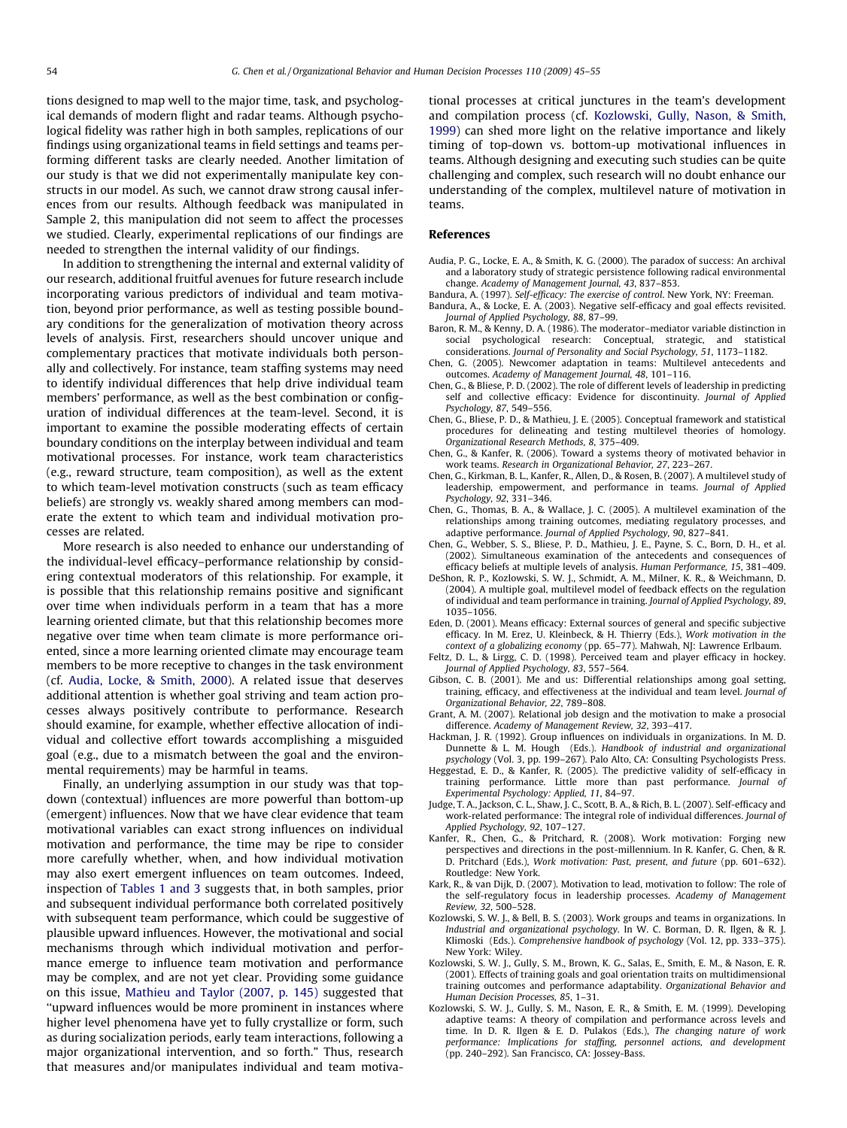<span id="page-9-0"></span>tions designed to map well to the major time, task, and psychological demands of modern flight and radar teams. Although psychological fidelity was rather high in both samples, replications of our findings using organizational teams in field settings and teams performing different tasks are clearly needed. Another limitation of our study is that we did not experimentally manipulate key constructs in our model. As such, we cannot draw strong causal inferences from our results. Although feedback was manipulated in Sample 2, this manipulation did not seem to affect the processes we studied. Clearly, experimental replications of our findings are needed to strengthen the internal validity of our findings.

In addition to strengthening the internal and external validity of our research, additional fruitful avenues for future research include incorporating various predictors of individual and team motivation, beyond prior performance, as well as testing possible boundary conditions for the generalization of motivation theory across levels of analysis. First, researchers should uncover unique and complementary practices that motivate individuals both personally and collectively. For instance, team staffing systems may need to identify individual differences that help drive individual team members' performance, as well as the best combination or configuration of individual differences at the team-level. Second, it is important to examine the possible moderating effects of certain boundary conditions on the interplay between individual and team motivational processes. For instance, work team characteristics (e.g., reward structure, team composition), as well as the extent to which team-level motivation constructs (such as team efficacy beliefs) are strongly vs. weakly shared among members can moderate the extent to which team and individual motivation processes are related.

More research is also needed to enhance our understanding of the individual-level efficacy–performance relationship by considering contextual moderators of this relationship. For example, it is possible that this relationship remains positive and significant over time when individuals perform in a team that has a more learning oriented climate, but that this relationship becomes more negative over time when team climate is more performance oriented, since a more learning oriented climate may encourage team members to be more receptive to changes in the task environment (cf. Audia, Locke, & Smith, 2000). A related issue that deserves additional attention is whether goal striving and team action processes always positively contribute to performance. Research should examine, for example, whether effective allocation of individual and collective effort towards accomplishing a misguided goal (e.g., due to a mismatch between the goal and the environmental requirements) may be harmful in teams.

Finally, an underlying assumption in our study was that topdown (contextual) influences are more powerful than bottom-up (emergent) influences. Now that we have clear evidence that team motivational variables can exact strong influences on individual motivation and performance, the time may be ripe to consider more carefully whether, when, and how individual motivation may also exert emergent influences on team outcomes. Indeed, inspection of [Tables 1 and 3](#page-4-0) suggests that, in both samples, prior and subsequent individual performance both correlated positively with subsequent team performance, which could be suggestive of plausible upward influences. However, the motivational and social mechanisms through which individual motivation and performance emerge to influence team motivation and performance may be complex, and are not yet clear. Providing some guidance on this issue, [Mathieu and Taylor \(2007, p. 145\)](#page-10-0) suggested that ''upward influences would be more prominent in instances where higher level phenomena have yet to fully crystallize or form, such as during socialization periods, early team interactions, following a major organizational intervention, and so forth." Thus, research that measures and/or manipulates individual and team motivational processes at critical junctures in the team's development and compilation process (cf. Kozlowski, Gully, Nason, & Smith, 1999) can shed more light on the relative importance and likely timing of top-down vs. bottom-up motivational influences in teams. Although designing and executing such studies can be quite challenging and complex, such research will no doubt enhance our understanding of the complex, multilevel nature of motivation in teams.

## References

- Audia, P. G., Locke, E. A., & Smith, K. G. (2000). The paradox of success: An archival and a laboratory study of strategic persistence following radical environmental change. Academy of Management Journal, 43, 837–853.
- Bandura, A. (1997). Self-efficacy: The exercise of control. New York, NY: Freeman.
- Bandura, A., & Locke, E. A. (2003). Negative self-efficacy and goal effects revisited. Journal of Applied Psychology, 88, 87–99.
- Baron, R. M., & Kenny, D. A. (1986). The moderator–mediator variable distinction in social psychological research: Conceptual, strategic, and statistical considerations. Journal of Personality and Social Psychology, 51, 1173–1182.
- Chen, G. (2005). Newcomer adaptation in teams: Multilevel antecedents and outcomes. Academy of Management Journal, 48, 101–116.
- Chen, G., & Bliese, P. D. (2002). The role of different levels of leadership in predicting self and collective efficacy: Evidence for discontinuity. Journal of Applied Psychology, 87, 549–556.
- Chen, G., Bliese, P. D., & Mathieu, J. E. (2005). Conceptual framework and statistical procedures for delineating and testing multilevel theories of homology. Organizational Research Methods, 8, 375–409.
- Chen, G., & Kanfer, R. (2006). Toward a systems theory of motivated behavior in work teams. Research in Organizational Behavior, 27, 223–267.
- Chen, G., Kirkman, B. L., Kanfer, R., Allen, D., & Rosen, B. (2007). A multilevel study of leadership, empowerment, and performance in teams. Journal of Applied Psychology, 92, 331–346.
- Chen, G., Thomas, B. A., & Wallace, J. C. (2005). A multilevel examination of the relationships among training outcomes, mediating regulatory processes, and adaptive performance. Journal of Applied Psychology, 90, 827–841.
- Chen, G., Webber, S. S., Bliese, P. D., Mathieu, J. E., Payne, S. C., Born, D. H., et al. (2002). Simultaneous examination of the antecedents and consequences of efficacy beliefs at multiple levels of analysis. Human Performance, 15, 381–409.
- DeShon, R. P., Kozlowski, S. W. J., Schmidt, A. M., Milner, K. R., & Weichmann, D. (2004). A multiple goal, multilevel model of feedback effects on the regulation of individual and team performance in training. Journal of Applied Psychology, 89, 1035–1056.
- Eden, D. (2001). Means efficacy: External sources of general and specific subjective efficacy. In M. Erez, U. Kleinbeck, & H. Thierry (Eds.), Work motivation in the context of a globalizing economy (pp. 65–77). Mahwah, NJ: Lawrence Erlbaum.
- Feltz, D. L., & Lirgg, C. D. (1998). Perceived team and player efficacy in hockey. Journal of Applied Psychology, 83, 557–564.
- Gibson, C. B. (2001). Me and us: Differential relationships among goal setting, training, efficacy, and effectiveness at the individual and team level. Journal of Organizational Behavior, 22, 789–808.
- Grant, A. M. (2007). Relational job design and the motivation to make a prosocial difference. Academy of Management Review, 32, 393–417.
- Hackman, J. R. (1992). Group influences on individuals in organizations. In M. D. Dunnette & L. M. Hough (Eds.). Handbook of industrial and organizational psychology (Vol. 3, pp. 199–267). Palo Alto, CA: Consulting Psychologists Press.
- Heggestad, E. D., & Kanfer, R. (2005). The predictive validity of self-efficacy in training performance. Little more than past performance. Journal of Experimental Psychology: Applied, 11, 84–97.
- Judge, T. A., Jackson, C. L., Shaw, J. C., Scott, B. A., & Rich, B. L. (2007). Self-efficacy and work-related performance: The integral role of individual differences. Journal of Applied Psychology, 92, 107–127.
- Kanfer, R., Chen, G., & Pritchard, R. (2008). Work motivation: Forging new perspectives and directions in the post-millennium. In R. Kanfer, G. Chen, & R. D. Pritchard (Eds.), Work motivation: Past, present, and future (pp. 601–632). Routledge: New York.
- Kark, R., & van Dijk, D. (2007). Motivation to lead, motivation to follow: The role of the self-regulatory focus in leadership processes. Academy of Management Review, 32, 500–528.
- Kozlowski, S. W. J., & Bell, B. S. (2003). Work groups and teams in organizations. In Industrial and organizational psychology. In W. C. Borman, D. R. Ilgen, & R. J. Klimoski (Eds.). Comprehensive handbook of psychology (Vol. 12, pp. 333–375). New York: Wiley.
- Kozlowski, S. W. J., Gully, S. M., Brown, K. G., Salas, E., Smith, E. M., & Nason, E. R. (2001). Effects of training goals and goal orientation traits on multidimensional training outcomes and performance adaptability. Organizational Behavior and Human Decision Processes, 85, 1–31.
- Kozlowski, S. W. J., Gully, S. M., Nason, E. R., & Smith, E. M. (1999). Developing adaptive teams: A theory of compilation and performance across levels and time. In D. R. Ilgen & E. D. Pulakos (Eds.), The changing nature of work performance: Implications for staffing, personnel actions, and development (pp. 240–292). San Francisco, CA: Jossey-Bass.